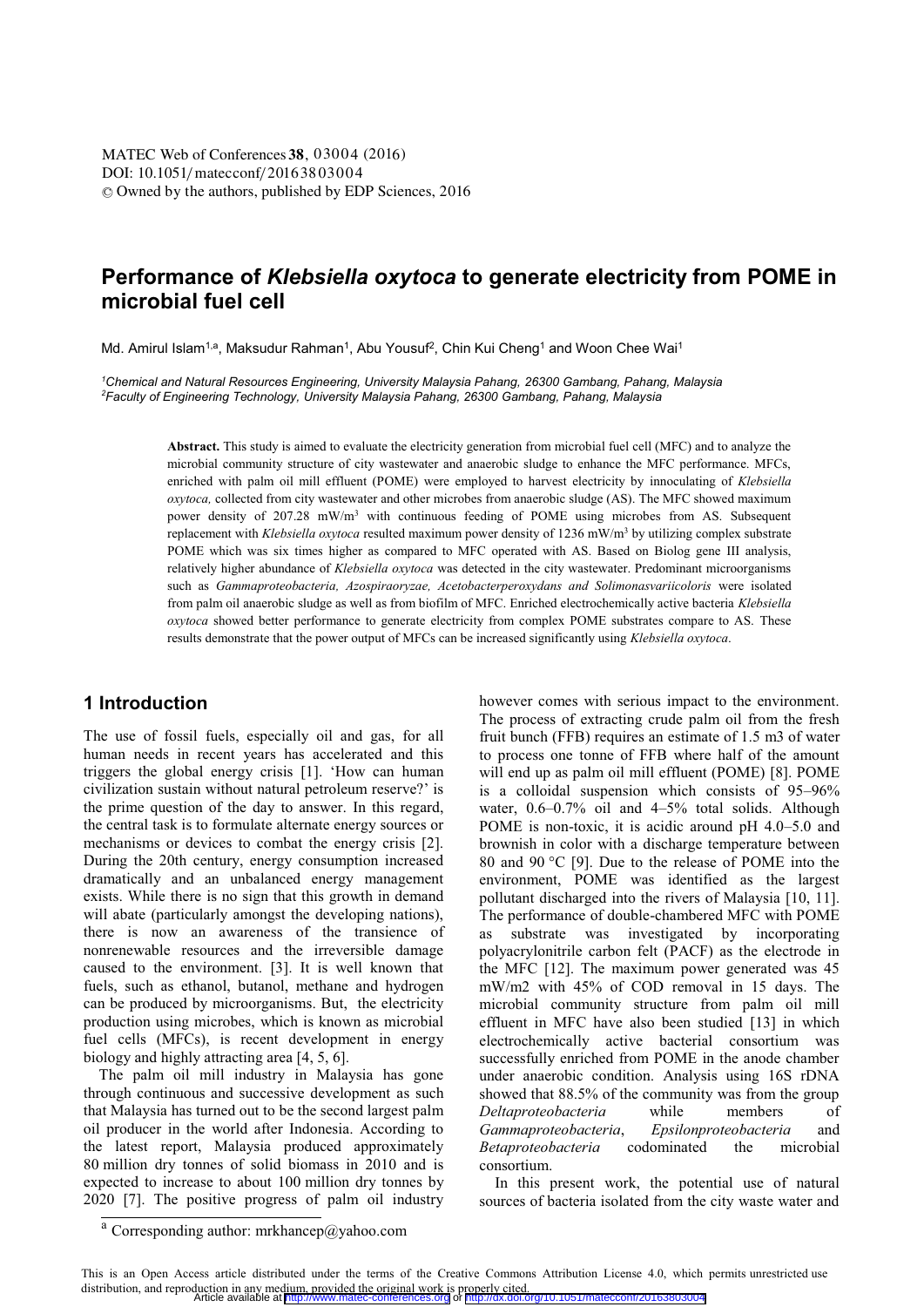DOI: 10.1051/matecconf/20163803004 © Owned by the authors, published by EDP Sciences, 2016 MATEC Web of Conferences **38**, 03004 (2016)<br>DOU: 10 1051/matecconf/20163803004

# **Performance of** *Klebsiella oxytoca* **to generate electricity from POME in microbial fuel cell**

Md. Amirul Islam<sup>1,a</sup>, Maksudur Rahman<sup>1</sup>, Abu Yousuf<sup>2</sup>, Chin Kui Cheng<sup>1</sup> and Woon Chee Wai<sup>1</sup>

*1 Chemical and Natural Resources Engineering, University Malaysia Pahang, 26300 Gambang, Pahang, Malaysia 2 Faculty of Engineering Technology, University Malaysia Pahang, 26300 Gambang, Pahang, Malaysia* 

> **Abstract.** This study is aimed to evaluate the electricity generation from microbial fuel cell (MFC) and to analyze the microbial community structure of city wastewater and anaerobic sludge to enhance the MFC performance. MFCs, enriched with palm oil mill effluent (POME) were employed to harvest electricity by innoculating of *Klebsiella oxytoca,* collected from city wastewater and other microbes from anaerobic sludge (AS). The MFC showed maximum power density of 207.28 mW/m<sup>3</sup> with continuous feeding of POME using microbes from AS. Subsequent replacement with *Klebsiella oxytoca* resulted maximum power density of 1236 mW/m<sup>3</sup> by utilizing complex substrate POME which was six times higher as compared to MFC operated with AS. Based on Biolog gene III analysis, relatively higher abundance of *Klebsiella oxytoca* was detected in the city wastewater. Predominant microorganisms such as *Gammaproteobacteria, Azospiraoryzae, Acetobacterperoxydans and Solimonasvariicoloris* were isolated from palm oil anaerobic sludge as well as from biofilm of MFC. Enriched electrochemically active bacteria *Klebsiella oxytoca* showed better performance to generate electricity from complex POME substrates compare to AS. These results demonstrate that the power output of MFCs can be increased significantly using *Klebsiella oxytoca*.

## **1 Introduction**

The use of fossil fuels, especially oil and gas, for all human needs in recent years has accelerated and this triggers the global energy crisis [1]. 'How can human civilization sustain without natural petroleum reserve?' is the prime question of the day to answer. In this regard, the central task is to formulate alternate energy sources or mechanisms or devices to combat the energy crisis [2]. During the 20th century, energy consumption increased dramatically and an unbalanced energy management exists. While there is no sign that this growth in demand will abate (particularly amongst the developing nations), there is now an awareness of the transience of nonrenewable resources and the irreversible damage caused to the environment. [3]. It is well known that fuels, such as ethanol, butanol, methane and hydrogen can be produced by microorganisms. But, the electricity production using microbes, which is known as microbial fuel cells (MFCs), is recent development in energy biology and highly attracting area [4, 5, 6].

 The palm oil mill industry in Malaysia has gone through continuous and successive development as such that Malaysia has turned out to be the second largest palm oil producer in the world after Indonesia. According to the latest report, Malaysia produced approximately 80 million dry tonnes of solid biomass in 2010 and is expected to increase to about 100 million dry tonnes by 2020 [7]. The positive progress of palm oil industry

however comes with serious impact to the environment. The process of extracting crude palm oil from the fresh fruit bunch (FFB) requires an estimate of 1.5 m3 of water to process one tonne of FFB where half of the amount will end up as palm oil mill effluent (POME) [8]. POME is a colloidal suspension which consists of 95–96% water,  $0.6-0.7\%$  oil and  $4-5\%$  total solids. Although POME is non-toxic, it is acidic around pH 4.0–5.0 and brownish in color with a discharge temperature between 80 and 90 °C [9]. Due to the release of POME into the environment, POME was identified as the largest pollutant discharged into the rivers of Malaysia [10, 11]. The performance of double-chambered MFC with POME as substrate was investigated by incorporating polyacrylonitrile carbon felt (PACF) as the electrode in the MFC [12]. The maximum power generated was 45 mW/m2 with 45% of COD removal in 15 days. The microbial community structure from palm oil mill effluent in MFC have also been studied [13] in which electrochemically active bacterial consortium was successfully enriched from POME in the anode chamber under anaerobic condition. Analysis using 16S rDNA showed that 88.5% of the community was from the group *Deltaproteobacteria* while members of *Gammaproteobacteria*, *Epsilonproteobacteria* and *Betaproteobacteria* codominated the microbial consortium.

 In this present work, the potential use of natural sources of bacteria isolated from the city waste water and

<sup>a</sup> Corresponding author: mrkhancep@yahoo.com

This is an Open Access article distributed under the terms of the Creative Commons Attribution License 4.0, which permits unrestricted use distribution, and reproduction in any medium, provided the original work is properly cited.<br>Article available at <http://www.matec-conferences.org> or <http://dx.doi.org/10.1051/matecconf/20163803004>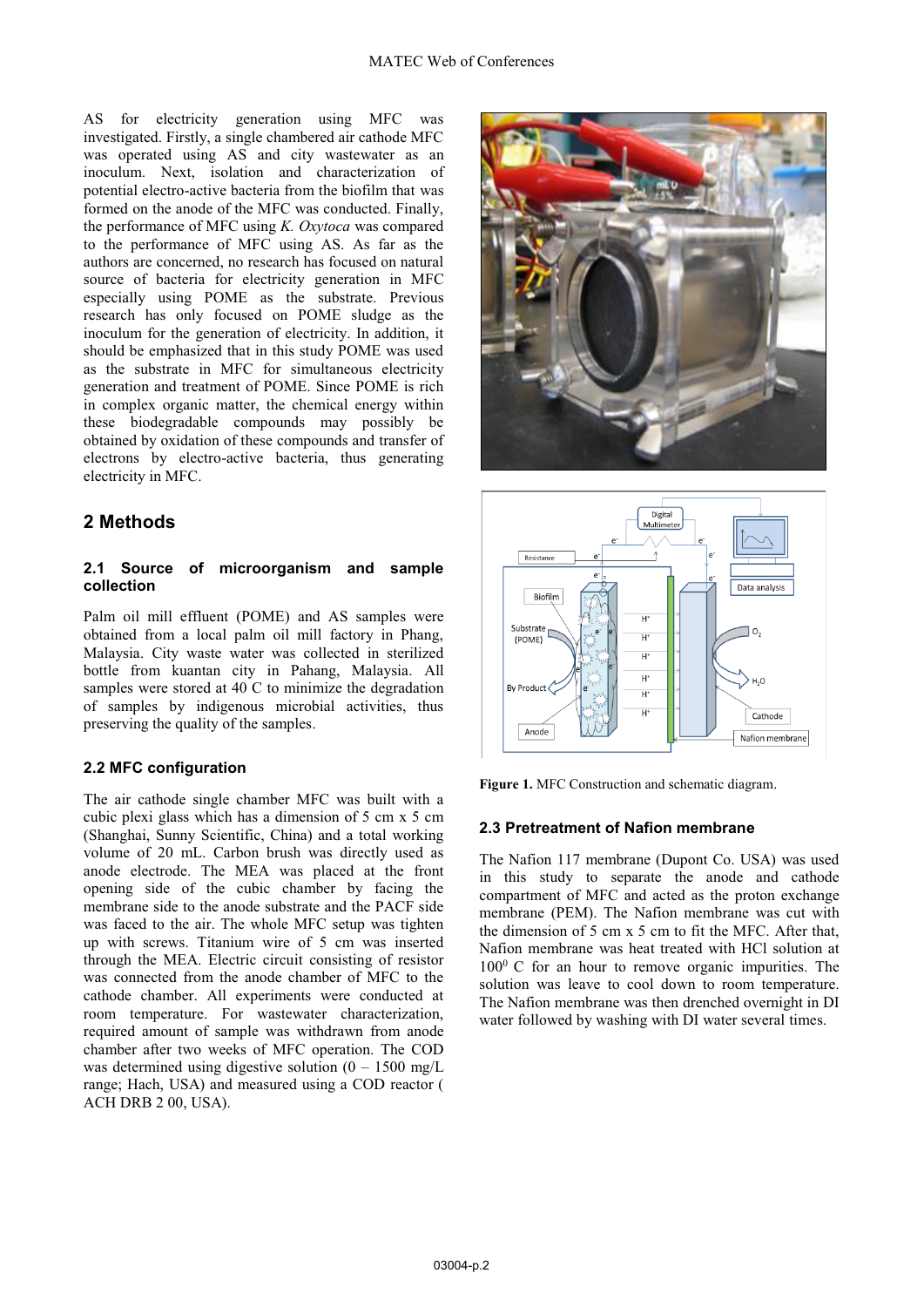AS for electricity generation using MFC was investigated. Firstly, a single chambered air cathode MFC was operated using AS and city wastewater as an inoculum. Next, isolation and characterization of potential electro-active bacteria from the biofilm that was formed on the anode of the MFC was conducted. Finally, the performance of MFC using *K. Oxytoca* was compared to the performance of MFC using AS. As far as the authors are concerned, no research has focused on natural source of bacteria for electricity generation in MFC especially using POME as the substrate. Previous research has only focused on POME sludge as the inoculum for the generation of electricity. In addition, it should be emphasized that in this study POME was used as the substrate in MFC for simultaneous electricity generation and treatment of POME. Since POME is rich in complex organic matter, the chemical energy within these biodegradable compounds may possibly be obtained by oxidation of these compounds and transfer of electrons by electro-active bacteria, thus generating electricity in MFC.

## **2 Methods**

### **2.1 Source of microorganism and sample collection**

Palm oil mill effluent (POME) and AS samples were obtained from a local palm oil mill factory in Phang, Malaysia. City waste water was collected in sterilized bottle from kuantan city in Pahang, Malaysia. All samples were stored at 40 C to minimize the degradation of samples by indigenous microbial activities, thus preserving the quality of the samples.

## **2.2 MFC configuration**

The air cathode single chamber MFC was built with a cubic plexi glass which has a dimension of 5 cm x 5 cm (Shanghai, Sunny Scientific, China) and a total working volume of 20 mL. Carbon brush was directly used as anode electrode. The MEA was placed at the front opening side of the cubic chamber by facing the membrane side to the anode substrate and the PACF side was faced to the air. The whole MFC setup was tighten up with screws. Titanium wire of 5 cm was inserted through the MEA. Electric circuit consisting of resistor was connected from the anode chamber of MFC to the cathode chamber. All experiments were conducted at room temperature. For wastewater characterization, required amount of sample was withdrawn from anode chamber after two weeks of MFC operation. The COD was determined using digestive solution  $(0 - 1500 \text{ mg/L})$ range; Hach, USA) and measured using a COD reactor ( ACH DRB 2 00, USA).





**Figure 1.** MFC Construction and schematic diagram.

### **2.3 Pretreatment of Nafion membrane**

The Nafion 117 membrane (Dupont Co. USA) was used in this study to separate the anode and cathode compartment of MFC and acted as the proton exchange membrane (PEM). The Nafion membrane was cut with the dimension of 5 cm x 5 cm to fit the MFC. After that, Nafion membrane was heat treated with HCl solution at  $100<sup>0</sup>$  C for an hour to remove organic impurities. The solution was leave to cool down to room temperature. The Nafion membrane was then drenched overnight in DI water followed by washing with DI water several times.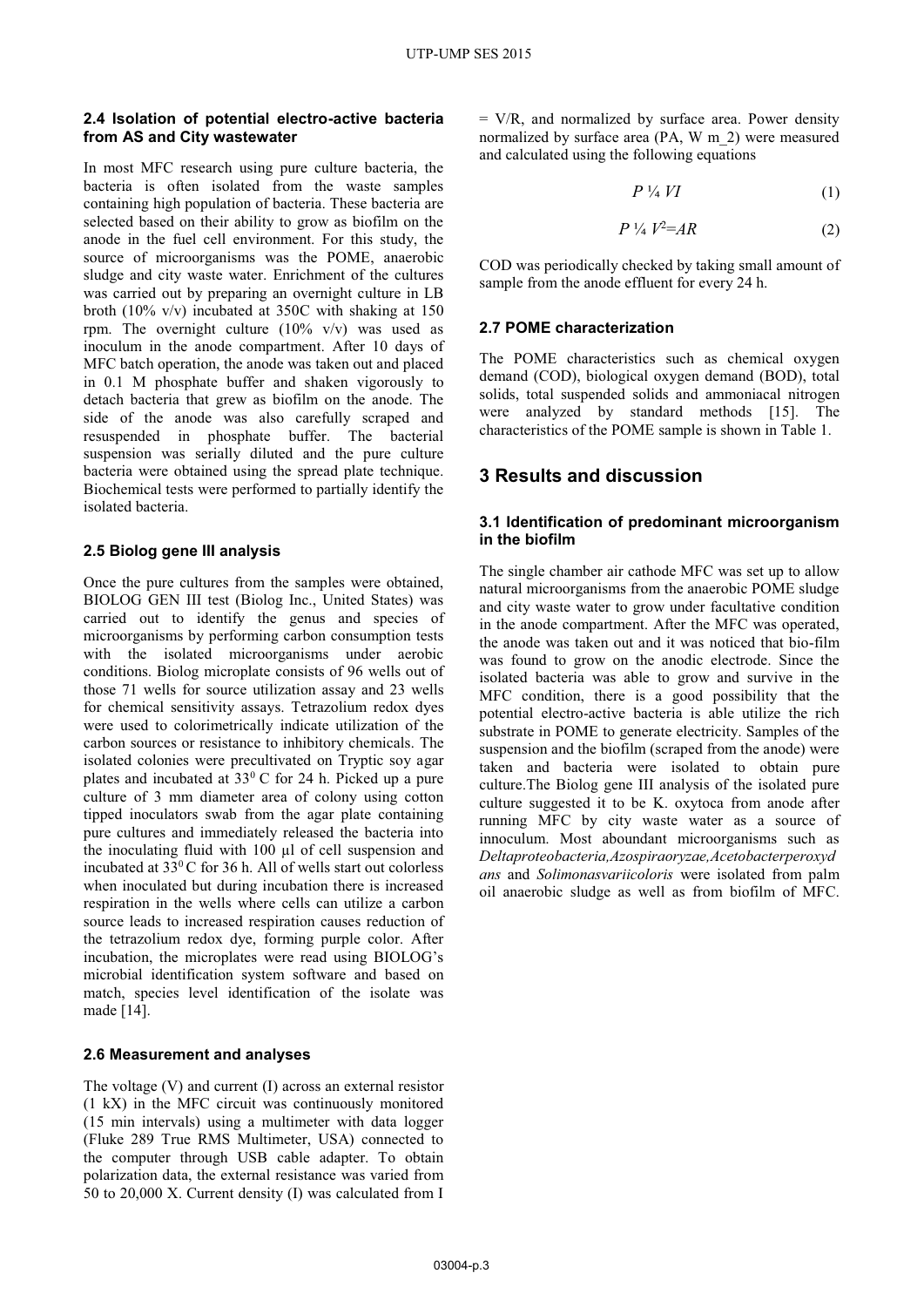#### **2.4 Isolation of potential electro-active bacteria from AS and City wastewater**

In most MFC research using pure culture bacteria, the bacteria is often isolated from the waste samples containing high population of bacteria. These bacteria are selected based on their ability to grow as biofilm on the anode in the fuel cell environment. For this study, the source of microorganisms was the POME, anaerobic sludge and city waste water. Enrichment of the cultures was carried out by preparing an overnight culture in LB broth (10% v/v) incubated at 350C with shaking at 150 rpm. The overnight culture  $(10\% \text{ v/v})$  was used as inoculum in the anode compartment. After 10 days of MFC batch operation, the anode was taken out and placed in 0.1 M phosphate buffer and shaken vigorously to detach bacteria that grew as biofilm on the anode. The side of the anode was also carefully scraped and resuspended in phosphate buffer. The bacterial suspension was serially diluted and the pure culture bacteria were obtained using the spread plate technique. Biochemical tests were performed to partially identify the isolated bacteria.

### **2.5 Biolog gene III analysis**

Once the pure cultures from the samples were obtained, BIOLOG GEN III test (Biolog Inc., United States) was carried out to identify the genus and species of microorganisms by performing carbon consumption tests with the isolated microorganisms under aerobic conditions. Biolog microplate consists of 96 wells out of those 71 wells for source utilization assay and 23 wells for chemical sensitivity assays. Tetrazolium redox dyes were used to colorimetrically indicate utilization of the carbon sources or resistance to inhibitory chemicals. The isolated colonies were precultivated on Tryptic soy agar plates and incubated at  $33^{\circ}$  C for 24 h. Picked up a pure culture of 3 mm diameter area of colony using cotton tipped inoculators swab from the agar plate containing pure cultures and immediately released the bacteria into the inoculating fluid with 100 μl of cell suspension and incubated at 33<sup>0</sup>C for 36 h. All of wells start out colorless when inoculated but during incubation there is increased respiration in the wells where cells can utilize a carbon source leads to increased respiration causes reduction of the tetrazolium redox dye, forming purple color. After incubation, the microplates were read using BIOLOG's microbial identification system software and based on match, species level identification of the isolate was made [14].

#### **2.6 Measurement and analyses**

The voltage (V) and current (I) across an external resistor (1 kX) in the MFC circuit was continuously monitored (15 min intervals) using a multimeter with data logger (Fluke 289 True RMS Multimeter, USA) connected to the computer through USB cable adapter. To obtain polarization data, the external resistance was varied from 50 to 20,000 X. Current density (I) was calculated from I

= V/R, and normalized by surface area. Power density normalized by surface area (PA, W m\_2) were measured and calculated using the following equations

$$
P \nmid_4 V I \tag{1}
$$

$$
P \frac{1}{4} V^2 = AR \tag{2}
$$

COD was periodically checked by taking small amount of sample from the anode effluent for every 24 h.

### **2.7 POME characterization**

The POME characteristics such as chemical oxygen demand (COD), biological oxygen demand (BOD), total solids, total suspended solids and ammoniacal nitrogen were analyzed by standard methods [15]. The characteristics of the POME sample is shown in Table 1.

## **3 Results and discussion**

#### **3.1 Identification of predominant microorganism in the biofilm**

The single chamber air cathode MFC was set up to allow natural microorganisms from the anaerobic POME sludge and city waste water to grow under facultative condition in the anode compartment. After the MFC was operated, the anode was taken out and it was noticed that bio-film was found to grow on the anodic electrode. Since the isolated bacteria was able to grow and survive in the MFC condition, there is a good possibility that the potential electro-active bacteria is able utilize the rich substrate in POME to generate electricity. Samples of the suspension and the biofilm (scraped from the anode) were taken and bacteria were isolated to obtain pure culture.The Biolog gene III analysis of the isolated pure culture suggested it to be K. oxytoca from anode after running MFC by city waste water as a source of innoculum. Most aboundant microorganisms such as *Deltaproteobacteria,Azospiraoryzae,Acetobacterperoxyd ans* and *Solimonasvariicoloris* were isolated from palm oil anaerobic sludge as well as from biofilm of MFC.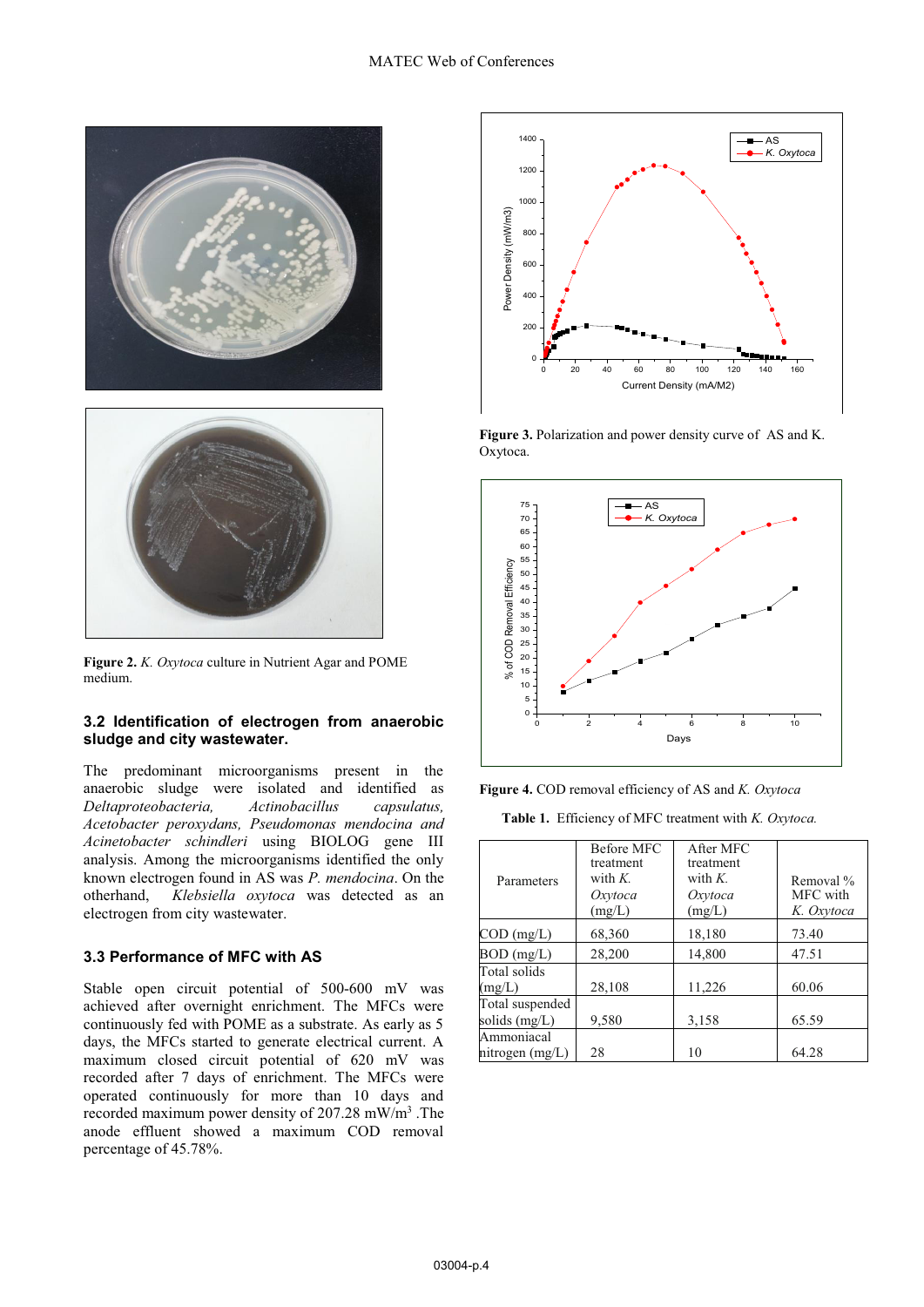

**Figure 2.** *K. Oxytoca* culture in Nutrient Agar and POME medium.

### **3.2 Identification of electrogen from anaerobic sludge and city wastewater.**

The predominant microorganisms present in the anaerobic sludge were isolated and identified as *Deltaproteobacteria, Actinobacillus capsulatus, Acetobacter peroxydans, Pseudomonas mendocina and Acinetobacter schindleri* using BIOLOG gene III analysis. Among the microorganisms identified the only known electrogen found in AS was *P. mendocina*. On the otherhand, *Klebsiella oxytoca* was detected as an electrogen from city wastewater.

### **3.3 Performance of MFC with AS**

Stable open circuit potential of 500-600 mV was achieved after overnight enrichment. The MFCs were continuously fed with POME as a substrate. As early as 5 days, the MFCs started to generate electrical current. A maximum closed circuit potential of 620 mV was recorded after 7 days of enrichment. The MFCs were operated continuously for more than 10 days and recorded maximum power density of 207.28 mW/m<sup>3</sup>. The anode effluent showed a maximum COD removal percentage of 45.78%.



Figure 3. Polarization and power density curve of AS and K. Oxytoca.



**Figure 4.** COD removal efficiency of AS and *K. Oxytoca*

**Table 1.** Efficiency of MFC treatment with *K. Oxytoca.*

| Parameters                       | <b>Before MFC</b><br>treatment<br>with $K$ .<br>Oxytoca<br>(mg/L) | After MFC<br>treatment<br>with $K$ .<br>Oxytoca<br>(mg/L) | Removal %<br>MFC with<br>K. Oxytoca |
|----------------------------------|-------------------------------------------------------------------|-----------------------------------------------------------|-------------------------------------|
| $\text{COD (mg/L)}$              | 68,360                                                            | 18,180                                                    | 73.40                               |
| $BOD$ (mg/L)                     | 28,200                                                            | 14,800                                                    | 47.51                               |
| Total solids<br>(mg/L)           | 28,108                                                            | 11,226                                                    | 60.06                               |
| Total suspended<br>solids (mg/L) | 9,580                                                             | 3,158                                                     | 65.59                               |
| Ammoniacal<br>nitrogen (mg/L)    | 28                                                                | 10                                                        | 64.28                               |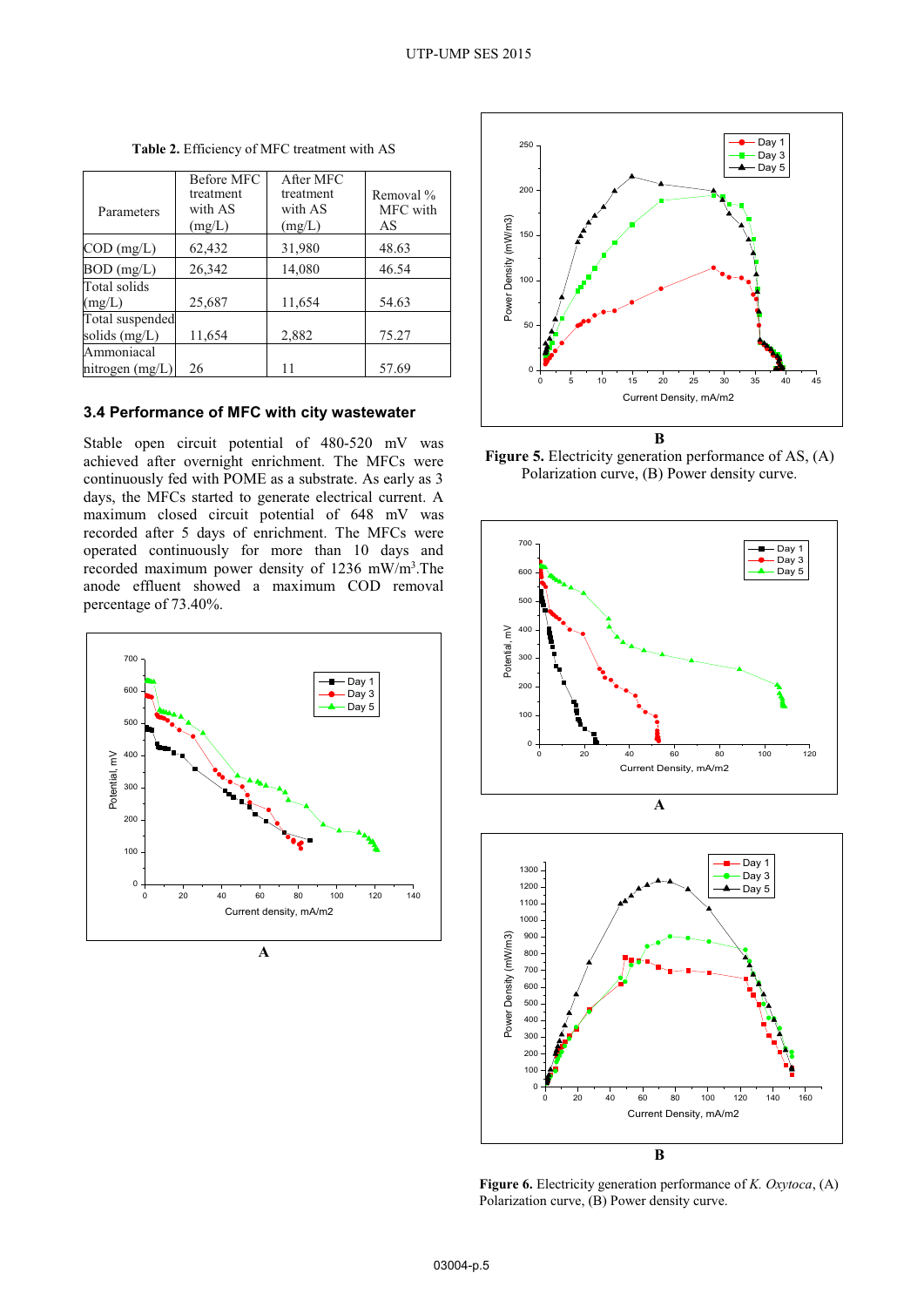|                   | <b>Before MFC</b> | After MFC |           |
|-------------------|-------------------|-----------|-----------|
|                   | treatment         | treatment | Removal % |
| Parameters        | with AS           | with AS   | MFC with  |
|                   | (mg/L)            | (mg/L)    | AS        |
| $COD$ (mg/L)      | 62,432            | 31,980    | 48.63     |
| $BOD$ (mg/L)      | 26,342            | 14,080    | 46.54     |
| Total solids      |                   |           |           |
| (mg/L)            | 25,687            | 11,654    | 54.63     |
| Total suspended   |                   |           |           |
| solids (mg/L)     | 11,654            | 2,882     | 75.27     |
| Ammoniacal        |                   |           |           |
| nitrogen $(mg/L)$ | 26                | 11        | 57.69     |

**Table 2.** Efficiency of MFC treatment with AS

#### **3. Performance of MFC with city wastewater 4**

Stable open circuit potential of 480-520 mV was achieved after overnight enrichment. The MFCs were continuously fed with POME as a substrate. As early as 3 days, the MFCs started to generate electrical current. A maximum closed circuit potential of 648 mV was recorded after 5 days of enrichment. The MFCs were operated continuously for more than 10 days and recorded maximum power density of 1236 mW/m<sup>3</sup>. The anode effluent showed a maximum COD removal percentage of 73.40%.





**Figure 5.** Electricity generation performance of AS, (A)<br>Polarization curve (B) Power density curve Polarization curve, (B) Power density curve.





**Figure 6.** Electricity generation performance of *K. Oxytoca*, (A) Polarization curve, (B) Power density curve.